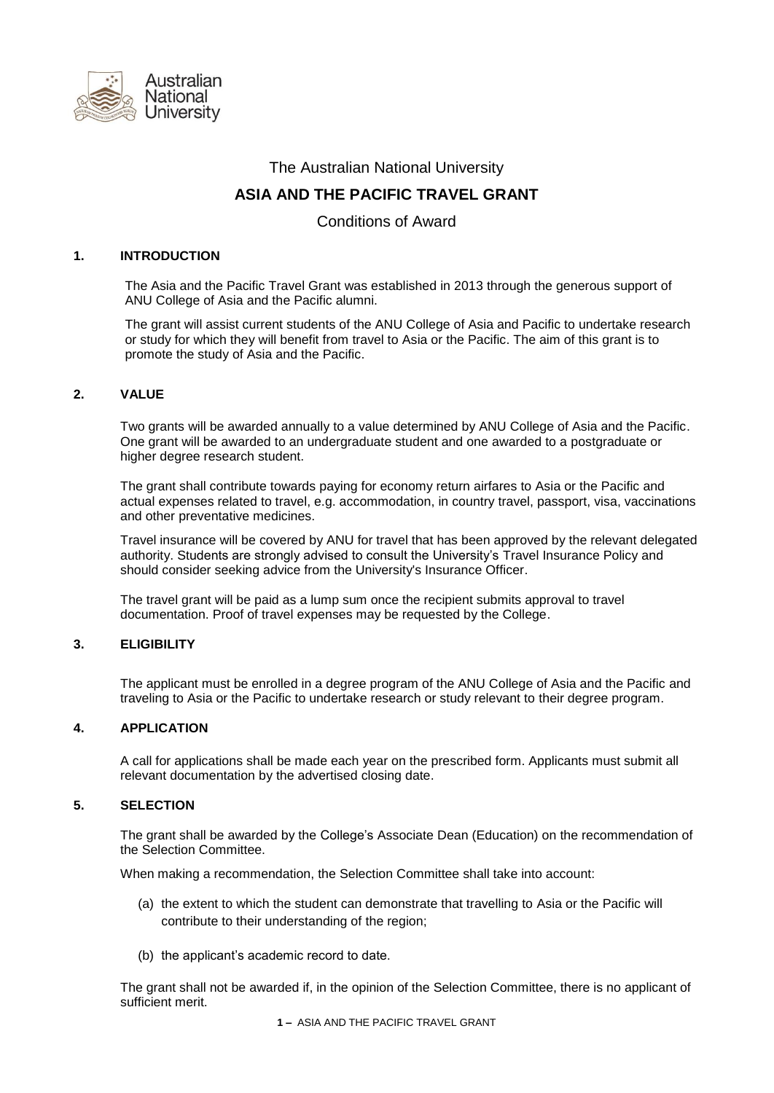

# The Australian National University

# **ASIA AND THE PACIFIC TRAVEL GRANT**

Conditions of Award

## **1. INTRODUCTION**

The Asia and the Pacific Travel Grant was established in 2013 through the generous support of ANU College of Asia and the Pacific alumni.

The grant will assist current students of the ANU College of Asia and Pacific to undertake research or study for which they will benefit from travel to Asia or the Pacific. The aim of this grant is to promote the study of Asia and the Pacific.

## **2. VALUE**

Two grants will be awarded annually to a value determined by ANU College of Asia and the Pacific. One grant will be awarded to an undergraduate student and one awarded to a postgraduate or higher degree research student.

The grant shall contribute towards paying for economy return airfares to Asia or the Pacific and actual expenses related to travel, e.g. accommodation, in country travel, passport, visa, vaccinations and other preventative medicines.

Travel insurance will be covered by ANU for travel that has been approved by the relevant delegated authority. Students are strongly advised to consult the University's Travel Insurance Policy and should consider seeking advice from the University's Insurance Officer.

The travel grant will be paid as a lump sum once the recipient submits approval to travel documentation. Proof of travel expenses may be requested by the College.

#### **3. ELIGIBILITY**

The applicant must be enrolled in a degree program of the ANU College of Asia and the Pacific and traveling to Asia or the Pacific to undertake research or study relevant to their degree program.

#### **4. APPLICATION**

A call for applications shall be made each year on the prescribed form. Applicants must submit all relevant documentation by the advertised closing date.

## **5. SELECTION**

The grant shall be awarded by the College's Associate Dean (Education) on the recommendation of the Selection Committee.

When making a recommendation, the Selection Committee shall take into account:

- (a) the extent to which the student can demonstrate that travelling to Asia or the Pacific will contribute to their understanding of the region;
- (b) the applicant's academic record to date.

The grant shall not be awarded if, in the opinion of the Selection Committee, there is no applicant of sufficient merit.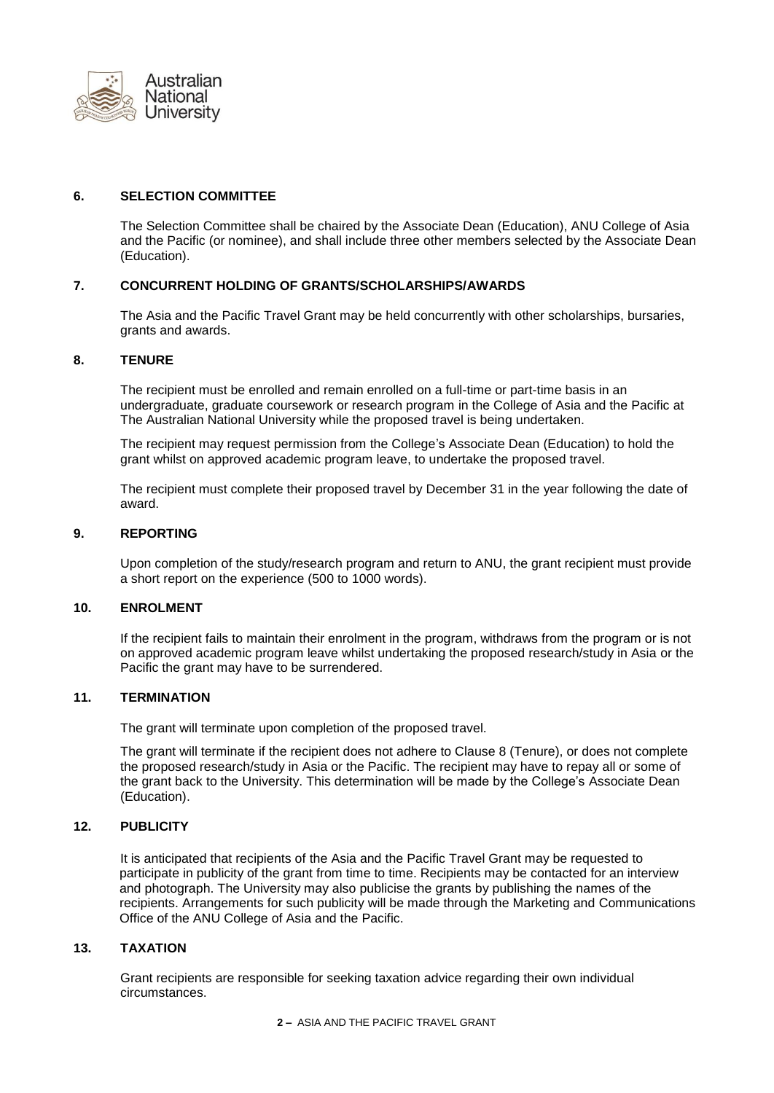

## **6. SELECTION COMMITTEE**

The Selection Committee shall be chaired by the Associate Dean (Education), ANU College of Asia and the Pacific (or nominee), and shall include three other members selected by the Associate Dean (Education).

## **7. CONCURRENT HOLDING OF GRANTS/SCHOLARSHIPS/AWARDS**

The Asia and the Pacific Travel Grant may be held concurrently with other scholarships, bursaries, grants and awards.

#### **8. TENURE**

The recipient must be enrolled and remain enrolled on a full-time or part-time basis in an undergraduate, graduate coursework or research program in the College of Asia and the Pacific at The Australian National University while the proposed travel is being undertaken.

The recipient may request permission from the College's Associate Dean (Education) to hold the grant whilst on approved academic program leave, to undertake the proposed travel.

The recipient must complete their proposed travel by December 31 in the year following the date of award.

### **9. REPORTING**

Upon completion of the study/research program and return to ANU, the grant recipient must provide a short report on the experience (500 to 1000 words).

### **10. ENROLMENT**

If the recipient fails to maintain their enrolment in the program, withdraws from the program or is not on approved academic program leave whilst undertaking the proposed research/study in Asia or the Pacific the grant may have to be surrendered.

## **11. TERMINATION**

The grant will terminate upon completion of the proposed travel.

The grant will terminate if the recipient does not adhere to Clause 8 (Tenure), or does not complete the proposed research/study in Asia or the Pacific. The recipient may have to repay all or some of the grant back to the University. This determination will be made by the College's Associate Dean (Education).

#### **12. PUBLICITY**

It is anticipated that recipients of the Asia and the Pacific Travel Grant may be requested to participate in publicity of the grant from time to time. Recipients may be contacted for an interview and photograph. The University may also publicise the grants by publishing the names of the recipients. Arrangements for such publicity will be made through the Marketing and Communications Office of the ANU College of Asia and the Pacific.

#### **13. TAXATION**

Grant recipients are responsible for seeking taxation advice regarding their own individual circumstances.